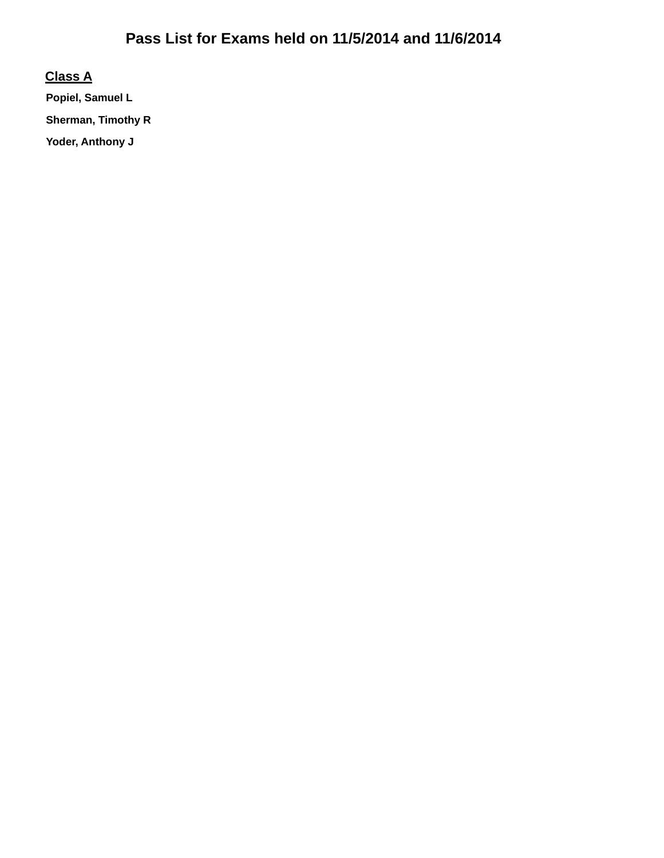#### **Class A**

**Popiel, Samuel L Sherman, Timothy R Yoder, Anthony J**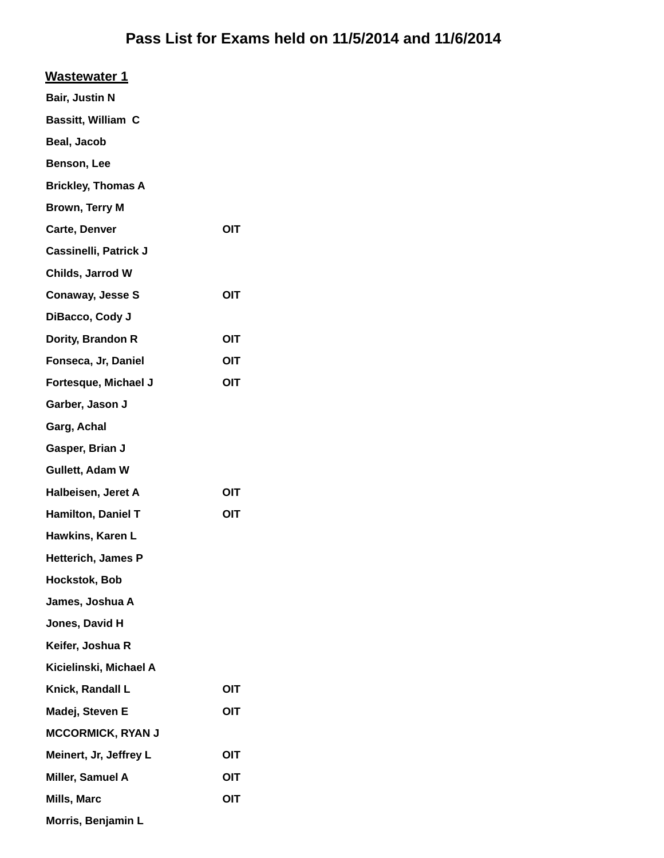| <b>Wastewater 1</b>          |     |
|------------------------------|-----|
| Bair, Justin N               |     |
| Bassitt, William C           |     |
| Beal, Jacob                  |     |
| Benson, Lee                  |     |
| <b>Brickley, Thomas A</b>    |     |
| Brown, Terry M               |     |
| <b>Carte, Denver</b>         | OIT |
| <b>Cassinelli, Patrick J</b> |     |
| Childs, Jarrod W             |     |
| <b>Conaway, Jesse S</b>      | OIT |
| DiBacco, Cody J              |     |
| Dority, Brandon R            | OIT |
| Fonseca, Jr, Daniel          | OIT |
| Fortesque, Michael J         | OIT |
| Garber, Jason J              |     |
| Garg, Achal                  |     |
| Gasper, Brian J              |     |
| Gullett, Adam W              |     |
| Halbeisen, Jeret A           | OIT |
| Hamilton, Daniel T           | OIT |
| Hawkins, Karen L             |     |
| Hetterich, James P           |     |
| Hockstok, Bob                |     |
| James, Joshua A              |     |
| Jones, David H               |     |
| Keifer, Joshua R             |     |
| Kicielinski, Michael A       |     |
| Knick, Randall L             | OIT |
| Madej, Steven E              | OIT |
| <b>MCCORMICK, RYAN J</b>     |     |
| Meinert, Jr, Jeffrey L       | OIT |
| Miller, Samuel A             | OIT |
| Mills, Marc                  | OIT |
| Morris, Benjamin L           |     |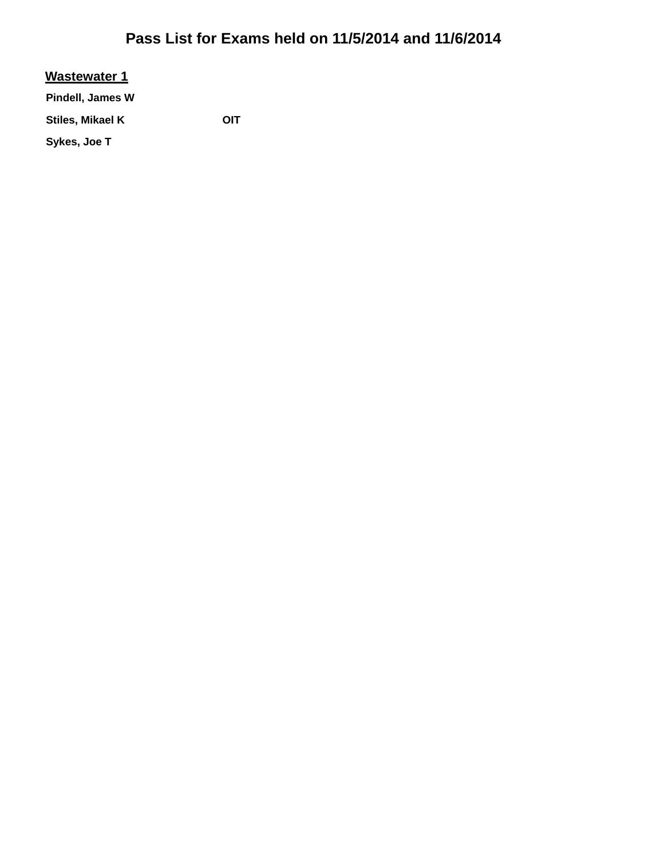#### **Wastewater 1**

**Pindell, James W**

Stiles, Mikael K **OIT** 

**Sykes, Joe T**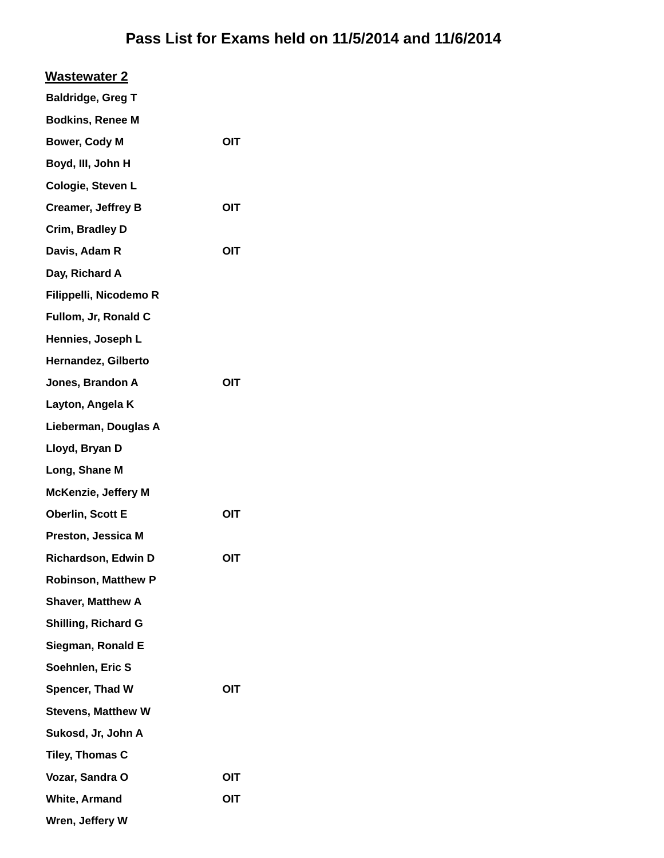| <b>Wastewater 2</b>        |     |  |
|----------------------------|-----|--|
| <b>Baldridge, Greg T</b>   |     |  |
| <b>Bodkins, Renee M</b>    |     |  |
| <b>Bower, Cody M</b>       | OIT |  |
| Boyd, III, John H          |     |  |
| Cologie, Steven L          |     |  |
| <b>Creamer, Jeffrey B</b>  | OIT |  |
| Crim, Bradley D            |     |  |
| Davis, Adam R              | OIT |  |
| Day, Richard A             |     |  |
| Filippelli, Nicodemo R     |     |  |
| Fullom, Jr, Ronald C       |     |  |
| Hennies, Joseph L          |     |  |
| Hernandez, Gilberto        |     |  |
| Jones, Brandon A           | OIT |  |
| Layton, Angela K           |     |  |
| Lieberman, Douglas A       |     |  |
| Lloyd, Bryan D             |     |  |
| Long, Shane M              |     |  |
| <b>McKenzie, Jeffery M</b> |     |  |
| <b>Oberlin, Scott E</b>    | OIT |  |
| Preston, Jessica M         |     |  |
| <b>Richardson, Edwin D</b> | OIT |  |
| <b>Robinson, Matthew P</b> |     |  |
| <b>Shaver, Matthew A</b>   |     |  |
| <b>Shilling, Richard G</b> |     |  |
| Siegman, Ronald E          |     |  |
| Soehnlen, Eric S           |     |  |
| Spencer, Thad W            | OIT |  |
| <b>Stevens, Matthew W</b>  |     |  |
| Sukosd, Jr, John A         |     |  |
| Tiley, Thomas C            |     |  |
| Vozar, Sandra O            | OIT |  |
| <b>White, Armand</b>       | OIT |  |
| Wren, Jeffery W            |     |  |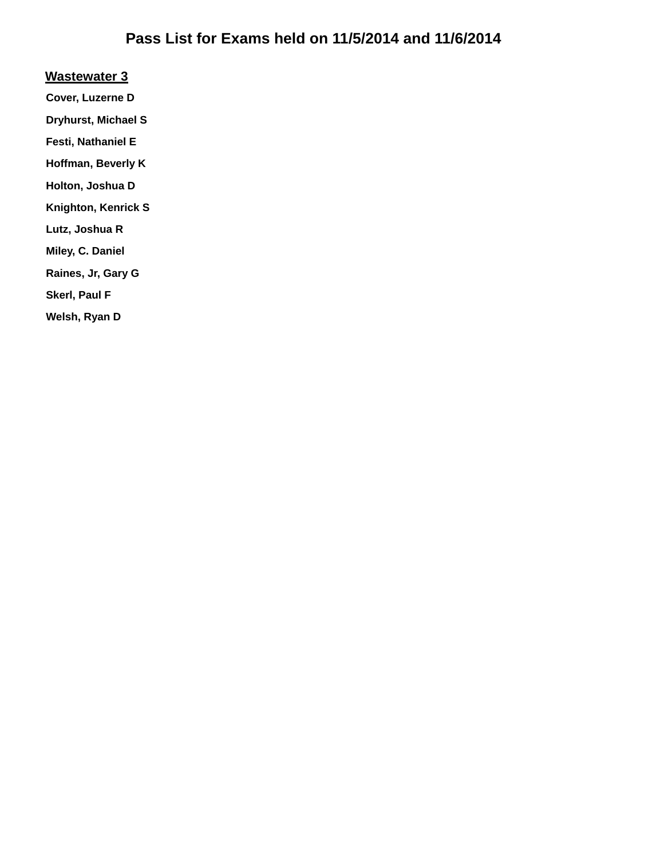#### **Wastewater 3**

**Cover, Luzerne D**

**Dryhurst, Michael S**

**Festi, Nathaniel E**

**Hoffman, Beverly K**

**Holton, Joshua D**

**Knighton, Kenrick S**

**Lutz, Joshua R**

**Miley, C. Daniel**

**Raines, Jr, Gary G**

**Skerl, Paul F**

**Welsh, Ryan D**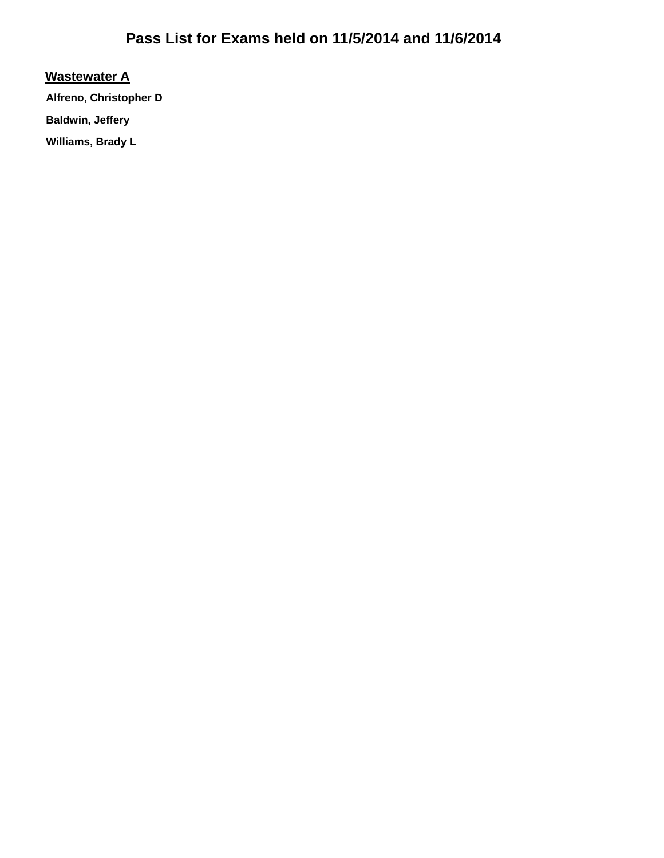#### **Wastewater A**

**Alfreno, Christopher D Baldwin, Jeffery** 

**Williams, Brady L**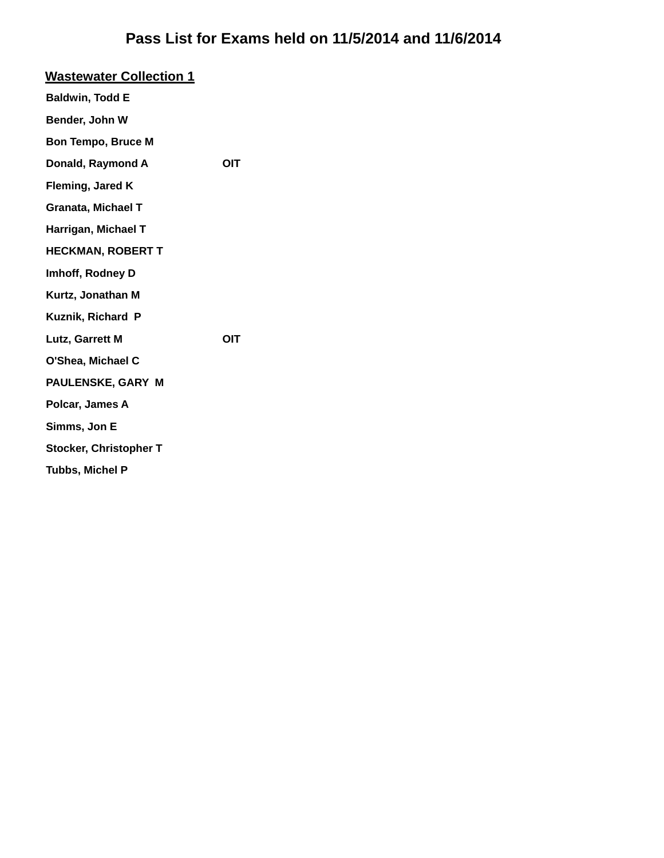| <b>Wastewater Collection 1</b> |            |
|--------------------------------|------------|
| <b>Baldwin, Todd E</b>         |            |
| Bender, John W                 |            |
| <b>Bon Tempo, Bruce M</b>      |            |
| Donald, Raymond A              | OIT        |
| Fleming, Jared K               |            |
| <b>Granata, Michael T</b>      |            |
| Harrigan, Michael T            |            |
| <b>HECKMAN, ROBERT T</b>       |            |
| Imhoff, Rodney D               |            |
| Kurtz, Jonathan M              |            |
| Kuznik, Richard P              |            |
| Lutz, Garrett M                | <b>OIT</b> |
| O'Shea, Michael C              |            |
| PAULENSKE, GARY M              |            |
| Polcar, James A                |            |
| Simms, Jon E                   |            |
| <b>Stocker, Christopher T</b>  |            |
| <b>Tubbs, Michel P</b>         |            |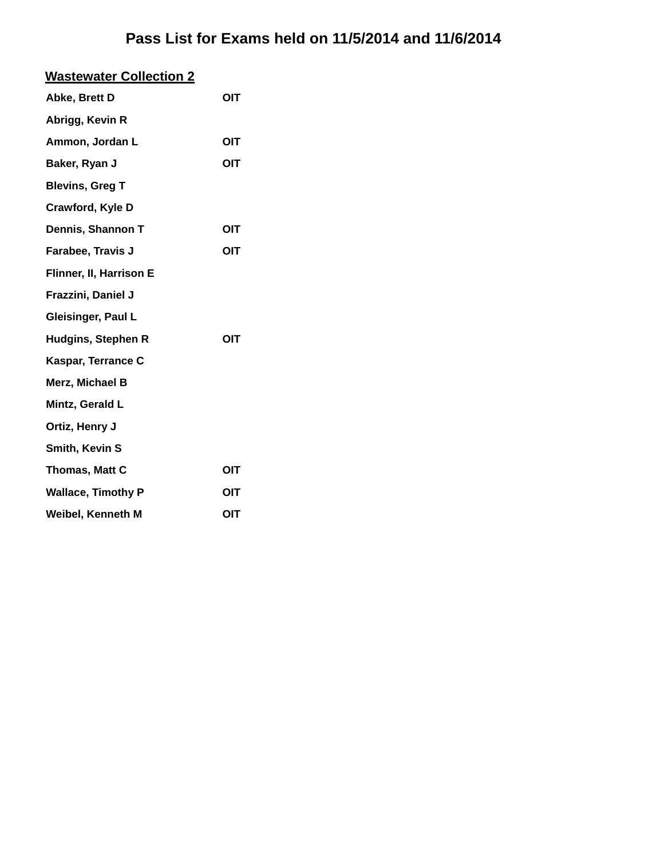| <b>Wastewater Collection 2</b> |     |
|--------------------------------|-----|
| Abke, Brett D                  | OIT |
| Abrigg, Kevin R                |     |
| Ammon, Jordan L                | OIT |
| Baker, Ryan J                  | OIT |
| <b>Blevins, Greg T</b>         |     |
| <b>Crawford, Kyle D</b>        |     |
| Dennis, Shannon T              | OIT |
| Farabee, Travis J              | OIT |
| Flinner, II, Harrison E        |     |
| Frazzini, Daniel J             |     |
| Gleisinger, Paul L             |     |
| <b>Hudgins, Stephen R</b>      | OIT |
| Kaspar, Terrance C             |     |
| Merz, Michael B                |     |
| Mintz, Gerald L                |     |
| Ortiz, Henry J                 |     |
| Smith, Kevin S                 |     |
| Thomas, Matt C                 | OIT |
| <b>Wallace, Timothy P</b>      | OIT |
| Weibel, Kenneth M              | OIT |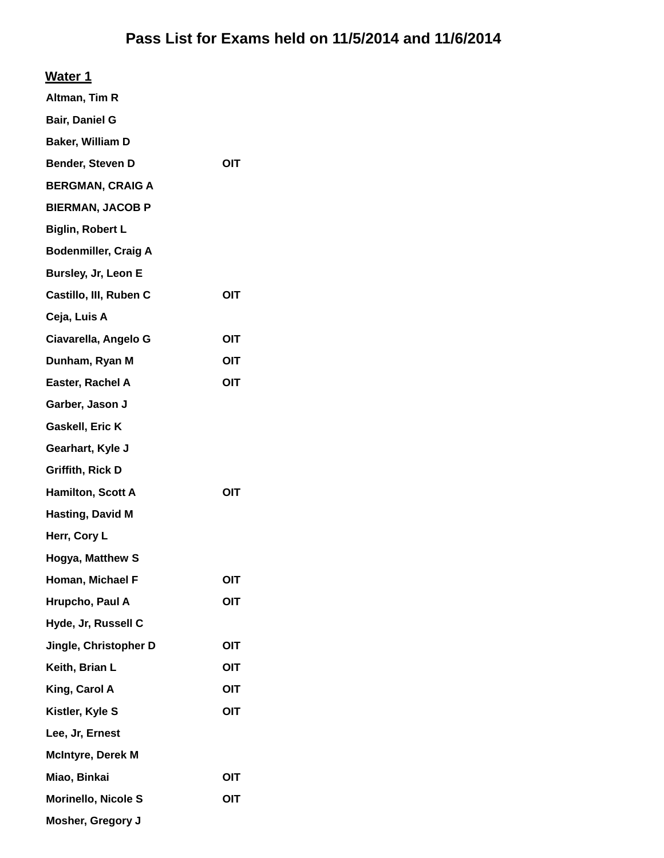| Water 1 |
|---------|
|---------|

| Altman, Tim R               |            |
|-----------------------------|------------|
| Bair, Daniel G              |            |
| Baker, William D            |            |
| Bender, Steven D            | OIT        |
| <b>BERGMAN, CRAIG A</b>     |            |
| <b>BIERMAN, JACOB P</b>     |            |
| <b>Biglin, Robert L</b>     |            |
| <b>Bodenmiller, Craig A</b> |            |
| Bursley, Jr, Leon E         |            |
| Castillo, III, Ruben C      | OIT        |
| Ceja, Luis A                |            |
| Ciavarella, Angelo G        | OIT        |
| Dunham, Ryan M              | OIT        |
| Easter, Rachel A            | OIT        |
| Garber, Jason J             |            |
| Gaskell, Eric K             |            |
| Gearhart, Kyle J            |            |
| <b>Griffith, Rick D</b>     |            |
| Hamilton, Scott A           | OIT        |
| <b>Hasting, David M</b>     |            |
| Herr, Cory L                |            |
| Hogya, Matthew S            |            |
| Homan, Michael F            | OIT        |
| Hrupcho, Paul A             | OIT        |
| Hyde, Jr, Russell C         |            |
| Jingle, Christopher D       | OIT        |
| Keith, Brian L              | OIT        |
| King, Carol A               | OIT        |
| Kistler, Kyle S             | <b>OIT</b> |
| Lee, Jr, Ernest             |            |
| <b>McIntyre, Derek M</b>    |            |
| Miao, Binkai                | OIT        |
| <b>Morinello, Nicole S</b>  | OIT        |
| <b>Mosher, Gregory J</b>    |            |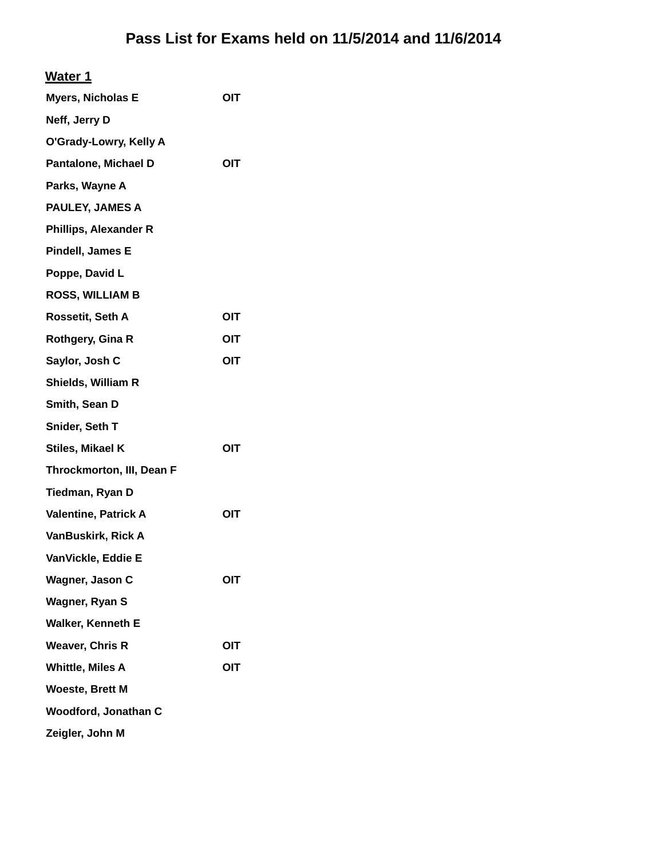| <b>Myers, Nicholas E</b>     | <b>OIT</b> |
|------------------------------|------------|
| Neff, Jerry D                |            |
| O'Grady-Lowry, Kelly A       |            |
| <b>Pantalone, Michael D</b>  | OIT        |
| Parks, Wayne A               |            |
| PAULEY, JAMES A              |            |
| <b>Phillips, Alexander R</b> |            |
| Pindell, James E             |            |
| Poppe, David L               |            |
| <b>ROSS, WILLIAM B</b>       |            |
| Rossetit, Seth A             | OIT        |
| Rothgery, Gina R             | OIT        |
| Saylor, Josh C               | OIT        |
| Shields, William R           |            |
| Smith, Sean D                |            |
| Snider, Seth T               |            |
| Stiles, Mikael K             | OIT        |
| Throckmorton, III, Dean F    |            |
| Tiedman, Ryan D              |            |
| <b>Valentine, Patrick A</b>  | OIT        |
| VanBuskirk, Rick A           |            |
| VanVickle, Eddie E           |            |
| Wagner, Jason C              | OIT        |
| Wagner, Ryan S               |            |
| Walker, Kenneth E            |            |
| <b>Weaver, Chris R</b>       | OIT        |
| <b>Whittle, Miles A</b>      | OIT        |
| <b>Woeste, Brett M</b>       |            |
| Woodford, Jonathan C         |            |
| Zeigler, John M              |            |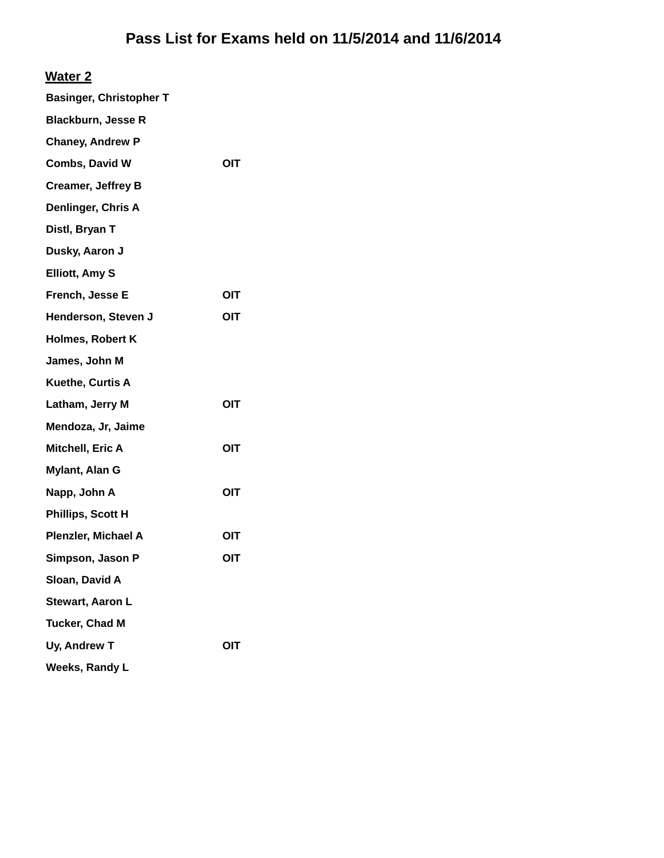#### **Water 2**

| <b>Basinger, Christopher T</b> |            |
|--------------------------------|------------|
| <b>Blackburn, Jesse R</b>      |            |
| <b>Chaney, Andrew P</b>        |            |
| Combs, David W                 | <b>OIT</b> |
| <b>Creamer, Jeffrey B</b>      |            |
| Denlinger, Chris A             |            |
| Distl, Bryan T                 |            |
| Dusky, Aaron J                 |            |
| <b>Elliott, Amy S</b>          |            |
| French, Jesse E                | OIT        |
| Henderson, Steven J            | OIT        |
| <b>Holmes, Robert K</b>        |            |
| James, John M                  |            |
| Kuethe, Curtis A               |            |
| Latham, Jerry M                | OIT        |
| Mendoza, Jr, Jaime             |            |
| Mitchell, Eric A               | OIT        |
| Mylant, Alan G                 |            |
| Napp, John A                   | OIT        |
| Phillips, Scott H              |            |
| Plenzler, Michael A            | OIT        |
| Simpson, Jason P               | OIT        |
| Sloan, David A                 |            |
| Stewart, Aaron L               |            |
| Tucker, Chad M                 |            |
| Uy, Andrew T                   | OIT        |
| Weeks, Randy L                 |            |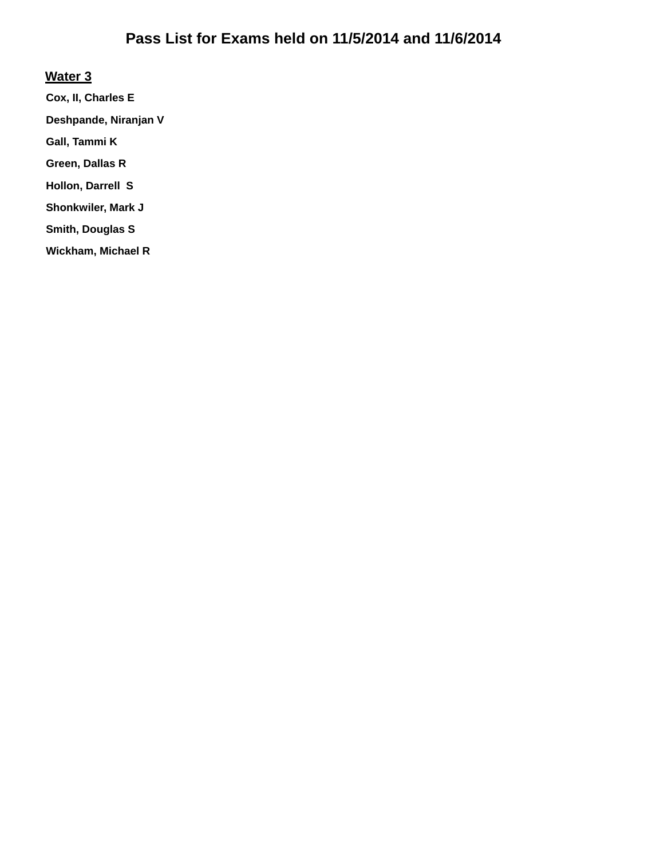#### **Water 3**

**Cox, II, Charles E Deshpande, Niranjan V Gall, Tammi K Green, Dallas R Hollon, Darrell S Shonkwiler, Mark J Smith, Douglas S Wickham, Michael R**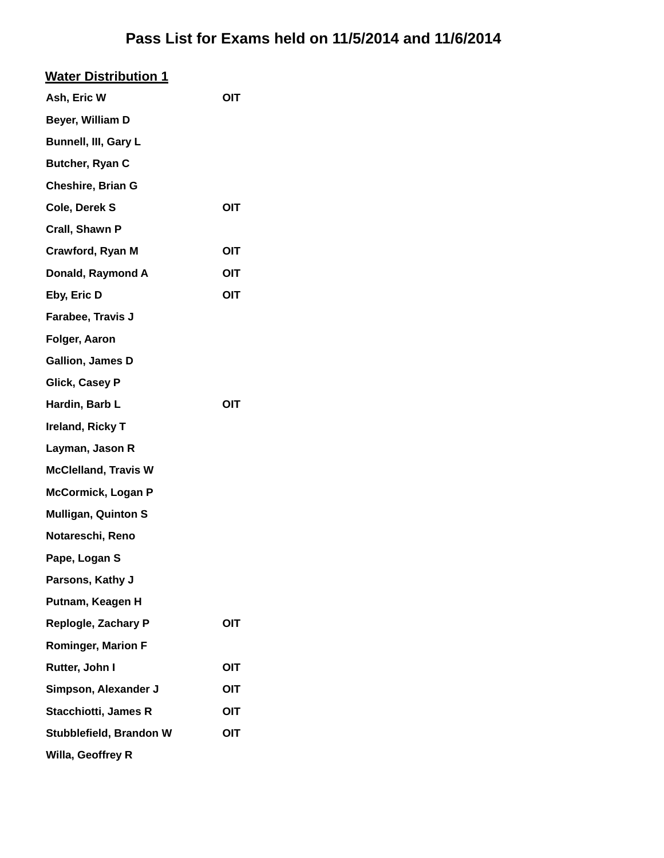| <u>Water Distribution 1</u> |     |
|-----------------------------|-----|
| Ash, Eric W                 | OIT |
| Beyer, William D            |     |
| <b>Bunnell, III, Gary L</b> |     |
| Butcher, Ryan C             |     |
| <b>Cheshire, Brian G</b>    |     |
| Cole, Derek S               | OIT |
| Crall, Shawn P              |     |
| Crawford, Ryan M            | OIT |
| Donald, Raymond A           | OIT |
| Eby, Eric D                 | OIT |
| Farabee, Travis J           |     |
| Folger, Aaron               |     |
| <b>Gallion, James D</b>     |     |
| <b>Glick, Casey P</b>       |     |
| Hardin, Barb L              | OIT |
| Ireland, Ricky T            |     |
| Layman, Jason R             |     |
| <b>McClelland, Travis W</b> |     |
| <b>McCormick, Logan P</b>   |     |
| <b>Mulligan, Quinton S</b>  |     |
| Notareschi, Reno            |     |
| Pape, Logan S               |     |
| Parsons, Kathy J            |     |
| Putnam, Keagen H            |     |
| Replogle, Zachary P         | OIT |
| <b>Rominger, Marion F</b>   |     |
| Rutter, John I              | OIT |
| Simpson, Alexander J        | OIT |
| <b>Stacchiotti, James R</b> | OIT |
| Stubblefield, Brandon W     | OIT |
| Willa, Geoffrey R           |     |